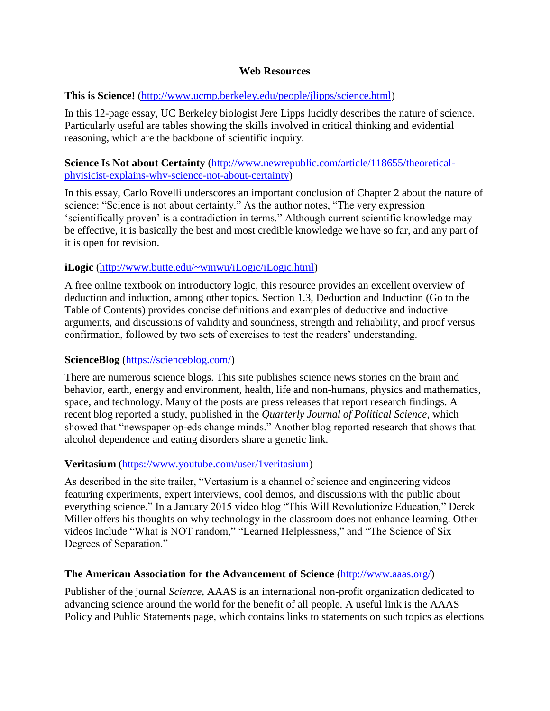### **Web Resources**

### **This is Science!** [\(http://www.ucmp.berkeley.edu/people/jlipps/science.html\)](http://www.ucmp.berkeley.edu/people/jlipps/science.html)

In this 12-page essay, UC Berkeley biologist Jere Lipps lucidly describes the nature of science. Particularly useful are tables showing the skills involved in critical thinking and evidential reasoning, which are the backbone of scientific inquiry.

### **Science Is Not about Certainty** [\(http://www.newrepublic.com/article/118655/theoretical](http://www.newrepublic.com/article/118655/theoretical-phyisicist-explains-why-science-not-about-certainty)[phyisicist-explains-why-science-not-about-certainty\)](http://www.newrepublic.com/article/118655/theoretical-phyisicist-explains-why-science-not-about-certainty)

In this essay, Carlo Rovelli underscores an important conclusion of Chapter 2 about the nature of science: "Science is not about certainty." As the author notes, "The very expression "scientifically proven" is a contradiction in terms." Although current scientific knowledge may be effective, it is basically the best and most credible knowledge we have so far, and any part of it is open for revision.

# **iLogic** [\(http://www.butte.edu/~wmwu/iLogic/iLogic.html\)](http://www.butte.edu/~wmwu/iLogic/iLogic.html)

A free online textbook on introductory logic, this resource provides an excellent overview of deduction and induction, among other topics. Section 1.3, Deduction and Induction (Go to the Table of Contents) provides concise definitions and examples of deductive and inductive arguments, and discussions of validity and soundness, strength and reliability, and proof versus confirmation, followed by two sets of exercises to test the readers" understanding.

### **ScienceBlog** [\(https://scienceblog.com/\)](https://scienceblog.com/)

There are numerous science blogs. This site publishes science news stories on the brain and behavior, earth, energy and environment, health, life and non-humans, physics and mathematics, space, and technology. Many of the posts are press releases that report research findings. A recent blog reported a study, published in the *Quarterly Journal of Political Science*, which showed that "newspaper op-eds change minds." Another blog reported research that shows that alcohol dependence and eating disorders share a genetic link.

# **Veritasium** [\(https://www.youtube.com/user/1veritasium\)](https://www.youtube.com/user/1veritasium)

As described in the site trailer, "Vertasium is a channel of science and engineering videos featuring experiments, expert interviews, cool demos, and discussions with the public about everything science." In a January 2015 video blog "This Will Revolutionize Education," Derek Miller offers his thoughts on why technology in the classroom does not enhance learning. Other videos include "What is NOT random," "Learned Helplessness," and "The Science of Six Degrees of Separation."

### **The American Association for the Advancement of Science** [\(http://www.aaas.org/\)](http://www.aaas.org/)

Publisher of the journal *Science*, AAAS is an international non-profit organization dedicated to advancing science around the world for the benefit of all people. A useful link is the AAAS Policy and Public Statements page, which contains links to statements on such topics as elections